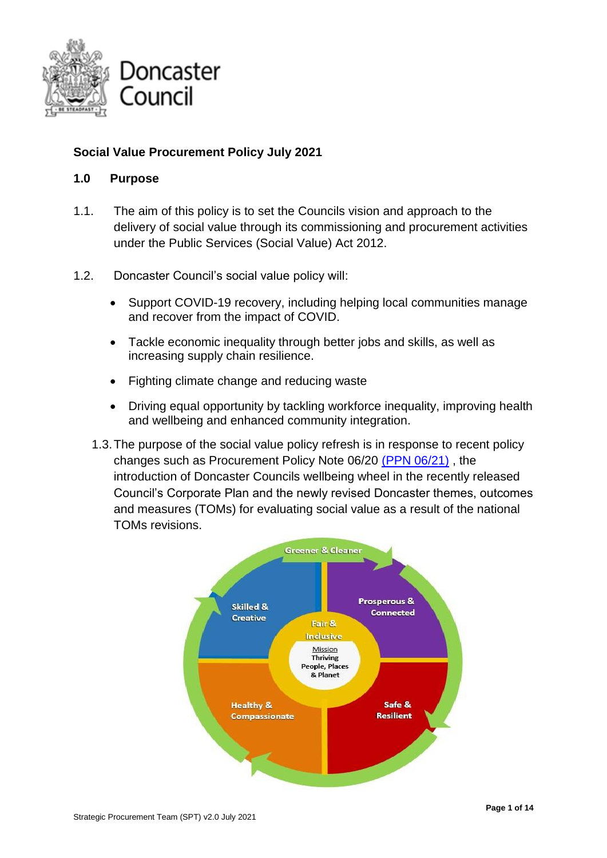

## **Social Value Procurement Policy July 2021**

### **1.0 Purpose**

- 1.1. The aim of this policy is to set the Councils vision and approach to the delivery of social value through its commissioning and procurement activities under the Public Services (Social Value) Act 2012.
- 1.2. Doncaster Council's social value policy will:
	- Support COVID-19 recovery, including helping local communities manage and recover from the impact of COVID.
	- Tackle economic inequality through better jobs and skills, as well as increasing supply chain resilience.
	- Fighting climate change and reducing waste
	- Driving equal opportunity by tackling workforce inequality, improving health and wellbeing and enhanced community integration.
	- 1.3.The purpose of the social value policy refresh is in response to recent policy changes such as Procurement Policy Note 06/20 [\(PPN 06/21\)](https://www.gov.uk/government/publications/procurement-policy-note-0621-taking-account-of-carbon-reduction-plans-in-the-procurement-of-major-government-contracts) , the introduction of Doncaster Councils wellbeing wheel in the recently released Council's Corporate Plan and the newly revised Doncaster themes, outcomes and measures (TOMs) for evaluating social value as a result of the national TOMs revisions.

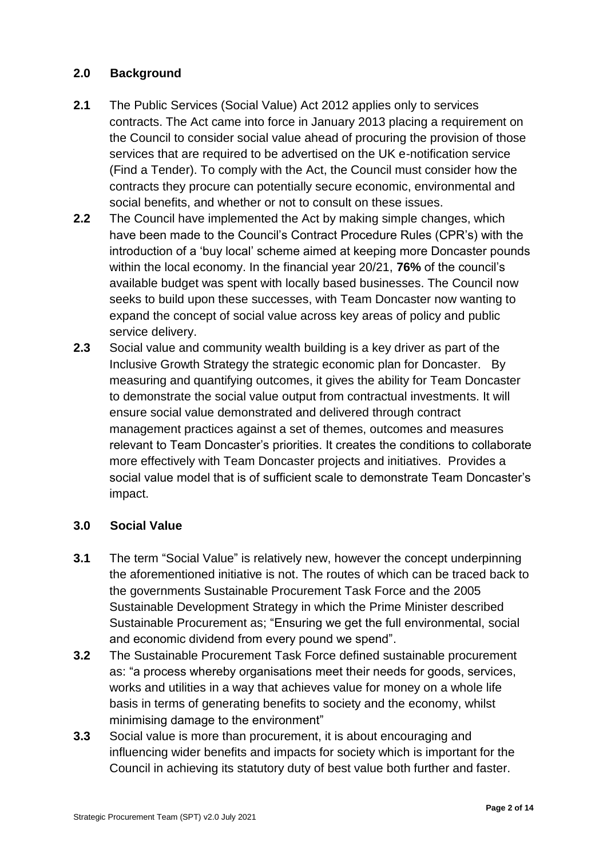### **2.0 Background**

- **2.1** The Public Services (Social Value) Act 2012 applies only to services contracts. The Act came into force in January 2013 placing a requirement on the Council to consider social value ahead of procuring the provision of those services that are required to be advertised on the UK e-notification service (Find a Tender). To comply with the Act, the Council must consider how the contracts they procure can potentially secure economic, environmental and social benefits, and whether or not to consult on these issues.
- **2.2** The Council have implemented the Act by making simple changes, which have been made to the Council's Contract Procedure Rules (CPR's) with the introduction of a 'buy local' scheme aimed at keeping more Doncaster pounds within the local economy. In the financial year 20/21, **76%** of the council's available budget was spent with locally based businesses. The Council now seeks to build upon these successes, with Team Doncaster now wanting to expand the concept of social value across key areas of policy and public service delivery.
- **2.3** Social value and community wealth building is a key driver as part of the Inclusive Growth Strategy the strategic economic plan for Doncaster. By measuring and quantifying outcomes, it gives the ability for Team Doncaster to demonstrate the social value output from contractual investments. It will ensure social value demonstrated and delivered through contract management practices against a set of themes, outcomes and measures relevant to Team Doncaster's priorities. It creates the conditions to collaborate more effectively with Team Doncaster projects and initiatives. Provides a social value model that is of sufficient scale to demonstrate Team Doncaster's impact.

## **3.0 Social Value**

- **3.1** The term "Social Value" is relatively new, however the concept underpinning the aforementioned initiative is not. The routes of which can be traced back to the governments Sustainable Procurement Task Force and the 2005 Sustainable Development Strategy in which the Prime Minister described Sustainable Procurement as; "Ensuring we get the full environmental, social and economic dividend from every pound we spend".
- **3.2** The Sustainable Procurement Task Force defined sustainable procurement as: "a process whereby organisations meet their needs for goods, services, works and utilities in a way that achieves value for money on a whole life basis in terms of generating benefits to society and the economy, whilst minimising damage to the environment"
- **3.3** Social value is more than procurement, it is about encouraging and influencing wider benefits and impacts for society which is important for the Council in achieving its statutory duty of best value both further and faster.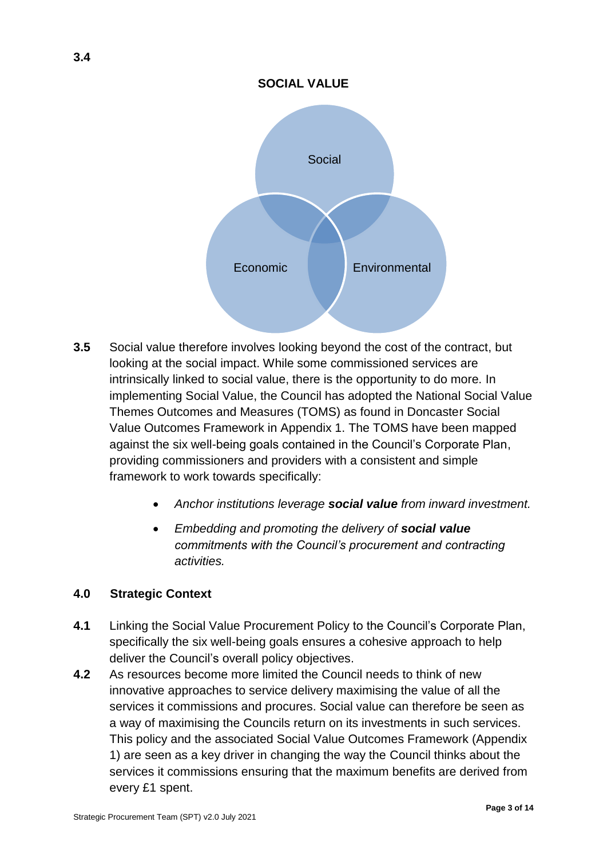#### **SOCIAL VALUE**



- **3.5** Social value therefore involves looking beyond the cost of the contract, but looking at the social impact. While some commissioned services are intrinsically linked to social value, there is the opportunity to do more. In implementing Social Value, the Council has adopted the National Social Value Themes Outcomes and Measures (TOMS) as found in Doncaster Social Value Outcomes Framework in Appendix 1. The TOMS have been mapped against the six well-being goals contained in the Council's Corporate Plan, providing commissioners and providers with a consistent and simple framework to work towards specifically:
	- *Anchor institutions leverage social value from inward investment.*
	- *Embedding and promoting the delivery of social value commitments with the Council's procurement and contracting activities.*

#### **4.0 Strategic Context**

- **4.1** Linking the Social Value Procurement Policy to the Council's Corporate Plan, specifically the six well-being goals ensures a cohesive approach to help deliver the Council's overall policy objectives.
- **4.2** As resources become more limited the Council needs to think of new innovative approaches to service delivery maximising the value of all the services it commissions and procures. Social value can therefore be seen as a way of maximising the Councils return on its investments in such services. This policy and the associated Social Value Outcomes Framework (Appendix 1) are seen as a key driver in changing the way the Council thinks about the services it commissions ensuring that the maximum benefits are derived from every £1 spent.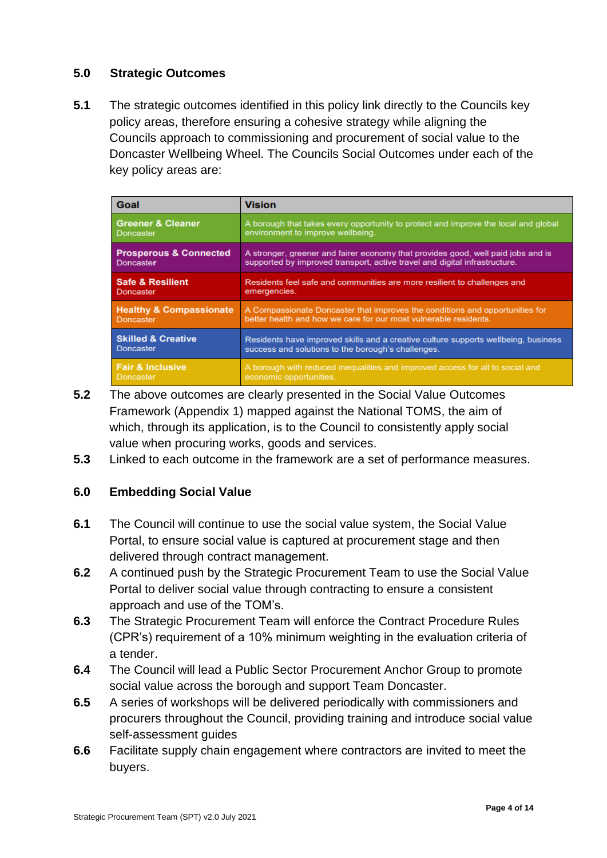#### **5.0 Strategic Outcomes**

**5.1** The strategic outcomes identified in this policy link directly to the Councils key policy areas, therefore ensuring a cohesive strategy while aligning the Councils approach to commissioning and procurement of social value to the Doncaster Wellbeing Wheel. The Councils Social Outcomes under each of the key policy areas are:

| Goal                               | <b>Vision</b>                                                                      |
|------------------------------------|------------------------------------------------------------------------------------|
| <b>Greener &amp; Cleaner</b>       | A borough that takes every opportunity to protect and improve the local and global |
| Doncaster                          | environment to improve wellbeing.                                                  |
| <b>Prosperous &amp; Connected</b>  | A stronger, greener and fairer economy that provides good, well paid jobs and is   |
| Doncaster                          | supported by improved transport, active travel and digital infrastructure.         |
| <b>Safe &amp; Resilient</b>        | Residents feel safe and communities are more resilient to challenges and           |
| Doncaster                          | emergencies.                                                                       |
| <b>Healthy &amp; Compassionate</b> | A Compassionate Doncaster that improves the conditions and opportunities for       |
| Doncaster                          | better health and how we care for our most vulnerable residents.                   |
| <b>Skilled &amp; Creative</b>      | Residents have improved skills and a creative culture supports wellbeing, business |
| <b>Doncaster</b>                   | success and solutions to the borough's challenges.                                 |
| <b>Fair &amp; Inclusive</b>        | A borough with reduced inequalities and improved access for all to social and      |
| Doncaster                          | economic opportunities.                                                            |

- **5.2** The above outcomes are clearly presented in the Social Value Outcomes Framework (Appendix 1) mapped against the National TOMS, the aim of which, through its application, is to the Council to consistently apply social value when procuring works, goods and services.
- **5.3** Linked to each outcome in the framework are a set of performance measures.

## **6.0 Embedding Social Value**

- **6.1** The Council will continue to use the social value system, the Social Value Portal, to ensure social value is captured at procurement stage and then delivered through contract management.
- **6.2** A continued push by the Strategic Procurement Team to use the Social Value Portal to deliver social value through contracting to ensure a consistent approach and use of the TOM's.
- **6.3** The Strategic Procurement Team will enforce the Contract Procedure Rules (CPR's) requirement of a 10% minimum weighting in the evaluation criteria of a tender.
- **6.4** The Council will lead a Public Sector Procurement Anchor Group to promote social value across the borough and support Team Doncaster.
- **6.5** A series of workshops will be delivered periodically with commissioners and procurers throughout the Council, providing training and introduce social value self-assessment guides
- **6.6** Facilitate supply chain engagement where contractors are invited to meet the buyers.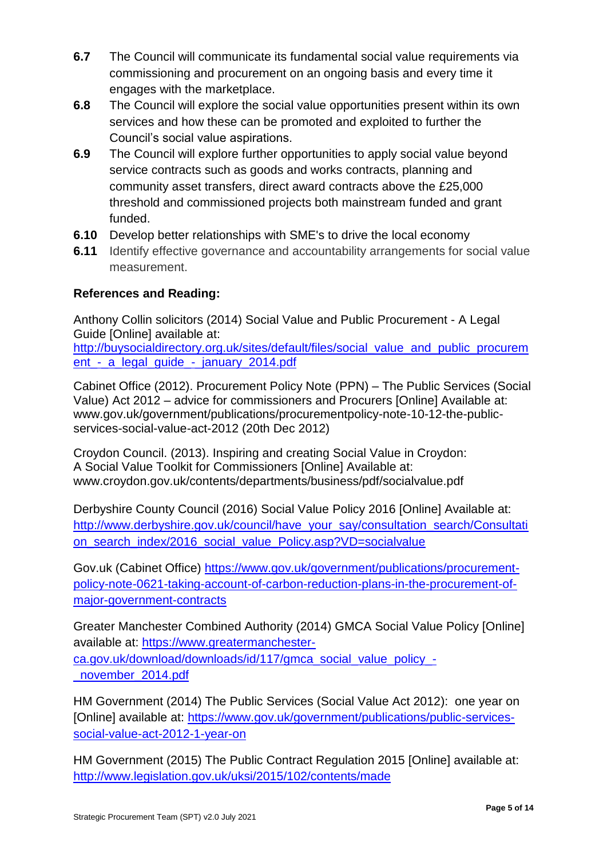- **6.7** The Council will communicate its fundamental social value requirements via commissioning and procurement on an ongoing basis and every time it engages with the marketplace.
- **6.8** The Council will explore the social value opportunities present within its own services and how these can be promoted and exploited to further the Council's social value aspirations.
- **6.9** The Council will explore further opportunities to apply social value beyond service contracts such as goods and works contracts, planning and community asset transfers, direct award contracts above the £25,000 threshold and commissioned projects both mainstream funded and grant funded.
- **6.10** Develop better relationships with SME's to drive the local economy
- **6.11** Identify effective governance and accountability arrangements for social value measurement.

## **References and Reading:**

Anthony Collin solicitors (2014) Social Value and Public Procurement - A Legal Guide [Online] available at:

[http://buysocialdirectory.org.uk/sites/default/files/social\\_value\\_and\\_public\\_procurem](http://buysocialdirectory.org.uk/sites/default/files/social_value_and_public_procurement_-_a_legal_guide_-_january_2014.pdf) ent - a legal quide - january 2014.pdf

Cabinet Office (2012). Procurement Policy Note (PPN) – The Public Services (Social Value) Act 2012 – advice for commissioners and Procurers [Online] Available at: www.gov.uk/government/publications/procurementpolicy-note-10-12-the-publicservices-social-value-act-2012 (20th Dec 2012)

Croydon Council. (2013). Inspiring and creating Social Value in Croydon: A Social Value Toolkit for Commissioners [Online] Available at: www.croydon.gov.uk/contents/departments/business/pdf/socialvalue.pdf

Derbyshire County Council (2016) Social Value Policy 2016 [Online] Available at: [http://www.derbyshire.gov.uk/council/have\\_your\\_say/consultation\\_search/Consultati](http://www.derbyshire.gov.uk/council/have_your_say/consultation_search/Consultation_search_index/2016_social_value_strategy.asp?VD=socialvalue) [on\\_search\\_index/2016\\_social\\_value\\_Policy.asp?VD=socialvalue](http://www.derbyshire.gov.uk/council/have_your_say/consultation_search/Consultation_search_index/2016_social_value_strategy.asp?VD=socialvalue)

Gov.uk (Cabinet Office) [https://www.gov.uk/government/publications/procurement](https://www.gov.uk/government/publications/procurement-policy-note-0621-taking-account-of-carbon-reduction-plans-in-the-procurement-of-major-government-contracts)[policy-note-0621-taking-account-of-carbon-reduction-plans-in-the-procurement-of](https://www.gov.uk/government/publications/procurement-policy-note-0621-taking-account-of-carbon-reduction-plans-in-the-procurement-of-major-government-contracts)[major-government-contracts](https://www.gov.uk/government/publications/procurement-policy-note-0621-taking-account-of-carbon-reduction-plans-in-the-procurement-of-major-government-contracts)

Greater Manchester Combined Authority (2014) GMCA Social Value Policy [Online] available at: [https://www.greatermanchester](https://www.greatermanchester-ca.gov.uk/download/downloads/id/117/gmca_social_value_policy_-_november_2014.pdf)[ca.gov.uk/download/downloads/id/117/gmca\\_social\\_value\\_policy\\_-](https://www.greatermanchester-ca.gov.uk/download/downloads/id/117/gmca_social_value_policy_-_november_2014.pdf) [\\_november\\_2014.pdf](https://www.greatermanchester-ca.gov.uk/download/downloads/id/117/gmca_social_value_policy_-_november_2014.pdf)

HM Government (2014) The Public Services (Social Value Act 2012): one year on [Online] available at: [https://www.gov.uk/government/publications/public-services](https://www.gov.uk/government/publications/public-services-social-value-act-2012-1-year-on)[social-value-act-2012-1-year-on](https://www.gov.uk/government/publications/public-services-social-value-act-2012-1-year-on)

HM Government (2015) The Public Contract Regulation 2015 [Online] available at: <http://www.legislation.gov.uk/uksi/2015/102/contents/made>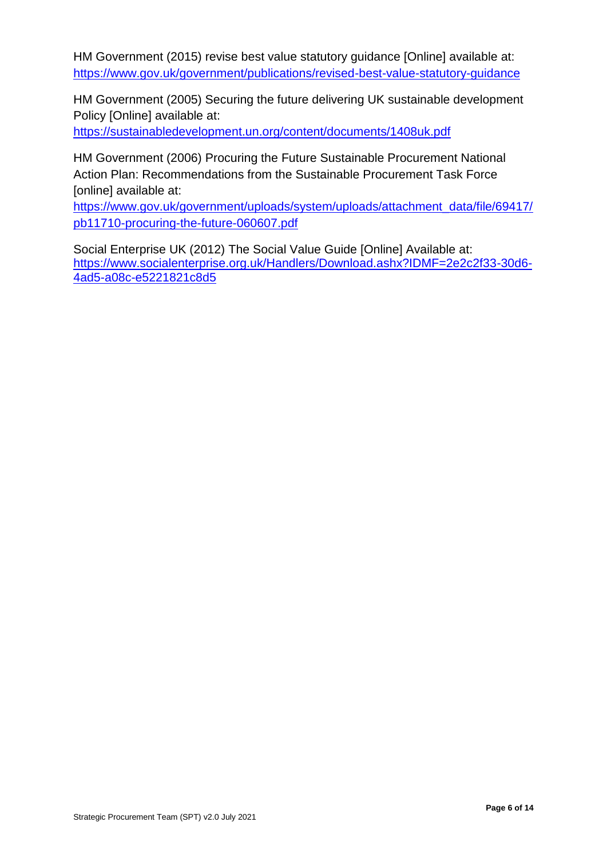HM Government (2015) revise best value statutory guidance [Online] available at: <https://www.gov.uk/government/publications/revised-best-value-statutory-guidance>

HM Government (2005) Securing the future delivering UK sustainable development Policy [Online] available at:

<https://sustainabledevelopment.un.org/content/documents/1408uk.pdf>

HM Government (2006) Procuring the Future Sustainable Procurement National Action Plan: Recommendations from the Sustainable Procurement Task Force [online] available at:

[https://www.gov.uk/government/uploads/system/uploads/attachment\\_data/file/69417/](https://www.gov.uk/government/uploads/system/uploads/attachment_data/file/69417/pb11710-procuring-the-future-060607.pdf) [pb11710-procuring-the-future-060607.pdf](https://www.gov.uk/government/uploads/system/uploads/attachment_data/file/69417/pb11710-procuring-the-future-060607.pdf)

Social Enterprise UK (2012) The Social Value Guide [Online] Available at: [https://www.socialenterprise.org.uk/Handlers/Download.ashx?IDMF=2e2c2f33-30d6-](https://www.socialenterprise.org.uk/Handlers/Download.ashx?IDMF=2e2c2f33-30d6-4ad5-a08c-e5221821c8d5) [4ad5-a08c-e5221821c8d5](https://www.socialenterprise.org.uk/Handlers/Download.ashx?IDMF=2e2c2f33-30d6-4ad5-a08c-e5221821c8d5)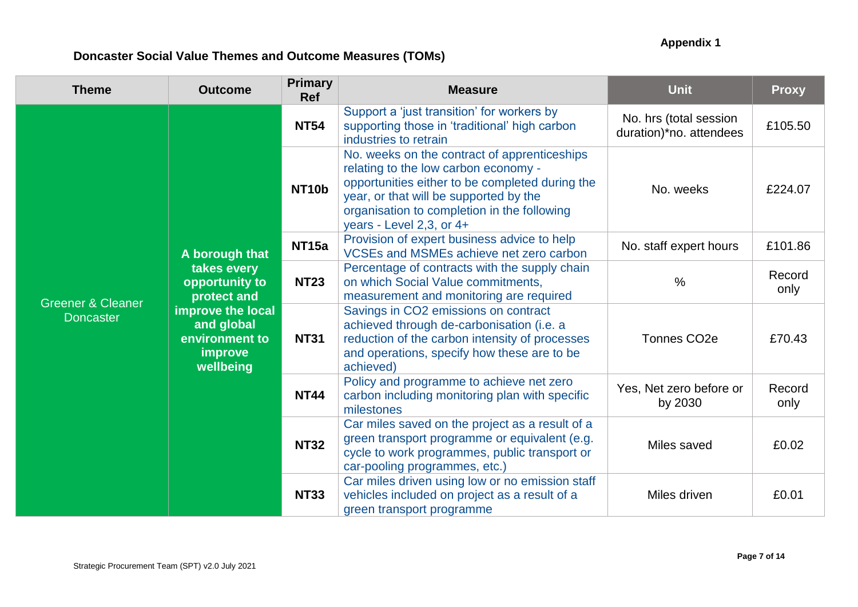## **Appendix 1**

# **Doncaster Social Value Themes and Outcome Measures (TOMs)**

| <b>Theme</b>                                                                                                                                                                                           | <b>Outcome</b>             | <b>Primary</b><br><b>Ref</b>                                                                             | <b>Measure</b>                                                                                                                                                                                  | <b>Unit</b>                                                                                                                                                                                                                                                  | <b>Proxy</b>   |
|--------------------------------------------------------------------------------------------------------------------------------------------------------------------------------------------------------|----------------------------|----------------------------------------------------------------------------------------------------------|-------------------------------------------------------------------------------------------------------------------------------------------------------------------------------------------------|--------------------------------------------------------------------------------------------------------------------------------------------------------------------------------------------------------------------------------------------------------------|----------------|
|                                                                                                                                                                                                        |                            | <b>NT54</b>                                                                                              | Support a 'just transition' for workers by<br>supporting those in 'traditional' high carbon<br>industries to retrain                                                                            | No. hrs (total session<br>duration)*no. attendees                                                                                                                                                                                                            | £105.50        |
| A borough that<br>takes every<br>opportunity to<br>protect and<br><b>Greener &amp; Cleaner</b><br>improve the local<br><b>Doncaster</b><br>and global<br>environment to<br><b>improve</b><br>wellbeing |                            |                                                                                                          | NT <sub>10</sub> b                                                                                                                                                                              | No. weeks on the contract of apprenticeships<br>relating to the low carbon economy -<br>opportunities either to be completed during the<br>year, or that will be supported by the<br>organisation to completion in the following<br>years - Level 2,3, or 4+ | No. weeks      |
|                                                                                                                                                                                                        |                            | <b>NT15a</b>                                                                                             | Provision of expert business advice to help<br>VCSEs and MSMEs achieve net zero carbon                                                                                                          | No. staff expert hours                                                                                                                                                                                                                                       | £101.86        |
|                                                                                                                                                                                                        |                            | <b>NT23</b>                                                                                              | Percentage of contracts with the supply chain<br>on which Social Value commitments,<br>measurement and monitoring are required                                                                  | $\%$                                                                                                                                                                                                                                                         | Record<br>only |
|                                                                                                                                                                                                        |                            | <b>NT31</b>                                                                                              | Savings in CO2 emissions on contract<br>achieved through de-carbonisation (i.e. a<br>reduction of the carbon intensity of processes<br>and operations, specify how these are to be<br>achieved) | Tonnes CO <sub>2</sub> e                                                                                                                                                                                                                                     | £70.43         |
|                                                                                                                                                                                                        | <b>NT44</b><br><b>NT32</b> | Policy and programme to achieve net zero<br>carbon including monitoring plan with specific<br>milestones | Yes, Net zero before or<br>by 2030                                                                                                                                                              | Record<br>only                                                                                                                                                                                                                                               |                |
|                                                                                                                                                                                                        |                            |                                                                                                          | Car miles saved on the project as a result of a<br>green transport programme or equivalent (e.g.<br>cycle to work programmes, public transport or<br>car-pooling programmes, etc.)              | Miles saved                                                                                                                                                                                                                                                  | £0.02          |
|                                                                                                                                                                                                        |                            | <b>NT33</b>                                                                                              | Car miles driven using low or no emission staff<br>vehicles included on project as a result of a<br>green transport programme                                                                   | Miles driven                                                                                                                                                                                                                                                 | £0.01          |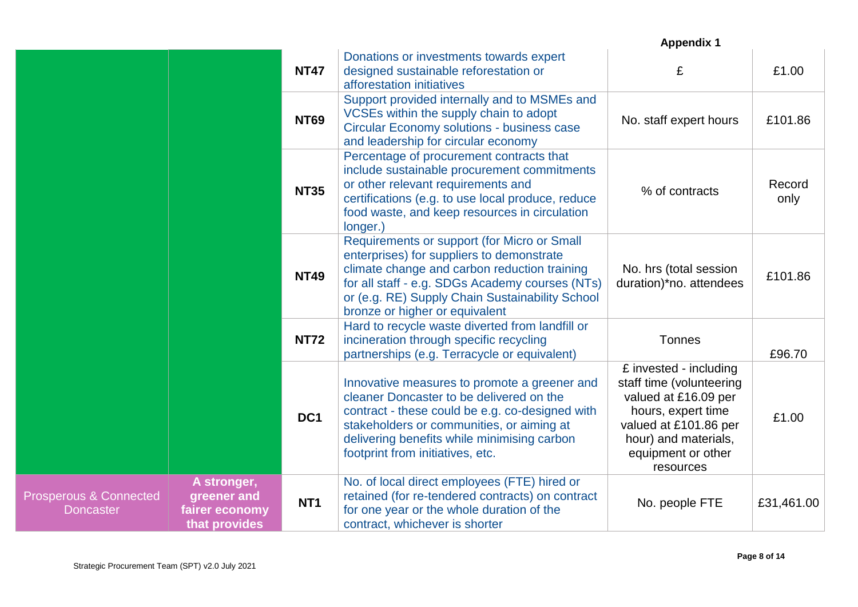|                                                       |                                                               |                 |                                                                                                                                                                                                                                                                                  | <b>Appendix 1</b>                                                                                                                                                                    |                |
|-------------------------------------------------------|---------------------------------------------------------------|-----------------|----------------------------------------------------------------------------------------------------------------------------------------------------------------------------------------------------------------------------------------------------------------------------------|--------------------------------------------------------------------------------------------------------------------------------------------------------------------------------------|----------------|
|                                                       |                                                               | <b>NT47</b>     | Donations or investments towards expert<br>designed sustainable reforestation or<br>afforestation initiatives                                                                                                                                                                    | £                                                                                                                                                                                    | £1.00          |
|                                                       |                                                               | <b>NT69</b>     | Support provided internally and to MSMEs and<br>VCSEs within the supply chain to adopt<br><b>Circular Economy solutions - business case</b><br>and leadership for circular economy                                                                                               | No. staff expert hours                                                                                                                                                               | £101.86        |
|                                                       |                                                               | <b>NT35</b>     | Percentage of procurement contracts that<br>include sustainable procurement commitments<br>or other relevant requirements and<br>certifications (e.g. to use local produce, reduce<br>food waste, and keep resources in circulation<br>longer.)                                  | % of contracts                                                                                                                                                                       | Record<br>only |
|                                                       |                                                               | <b>NT49</b>     | Requirements or support (for Micro or Small<br>enterprises) for suppliers to demonstrate<br>climate change and carbon reduction training<br>for all staff - e.g. SDGs Academy courses (NTs)<br>or (e.g. RE) Supply Chain Sustainability School<br>bronze or higher or equivalent | No. hrs (total session<br>duration)*no. attendees                                                                                                                                    | £101.86        |
|                                                       |                                                               | <b>NT72</b>     | Hard to recycle waste diverted from landfill or<br>incineration through specific recycling<br>partnerships (e.g. Terracycle or equivalent)                                                                                                                                       | <b>Tonnes</b>                                                                                                                                                                        | £96.70         |
|                                                       |                                                               | DC <sub>1</sub> | Innovative measures to promote a greener and<br>cleaner Doncaster to be delivered on the<br>contract - these could be e.g. co-designed with<br>stakeholders or communities, or aiming at<br>delivering benefits while minimising carbon<br>footprint from initiatives, etc.      | £ invested - including<br>staff time (volunteering<br>valued at £16.09 per<br>hours, expert time<br>valued at £101.86 per<br>hour) and materials,<br>equipment or other<br>resources | £1.00          |
| <b>Prosperous &amp; Connected</b><br><b>Doncaster</b> | A stronger,<br>greener and<br>fairer economy<br>that provides | NT <sub>1</sub> | No. of local direct employees (FTE) hired or<br>retained (for re-tendered contracts) on contract<br>for one year or the whole duration of the<br>contract, whichever is shorter                                                                                                  | No. people FTE                                                                                                                                                                       | £31,461.00     |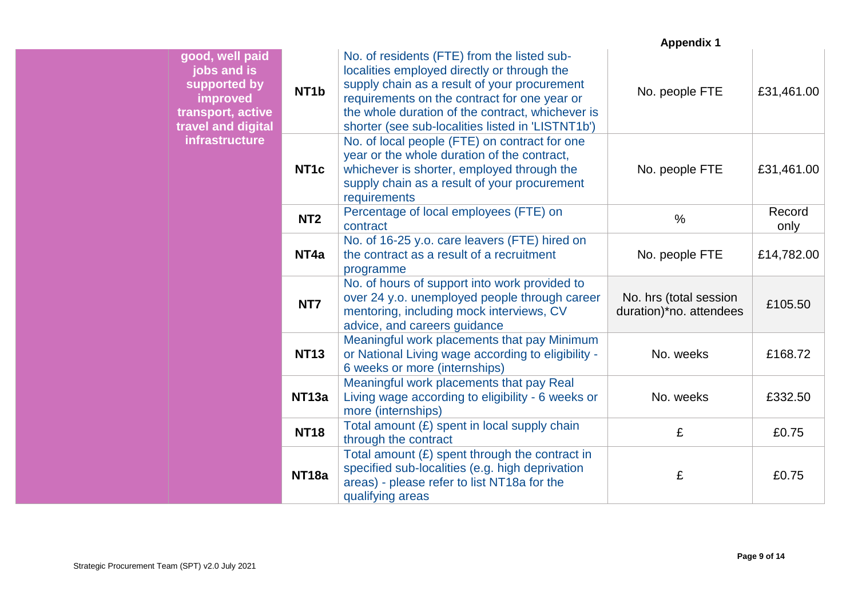|                                                                                                       |                   |                                                                                                                                                                                                                                                                                                     | <b>Appendix 1</b>                                 |                |
|-------------------------------------------------------------------------------------------------------|-------------------|-----------------------------------------------------------------------------------------------------------------------------------------------------------------------------------------------------------------------------------------------------------------------------------------------------|---------------------------------------------------|----------------|
| good, well paid<br>jobs and is<br>supported by<br>improved<br>transport, active<br>travel and digital | NT <sub>1</sub> b | No. of residents (FTE) from the listed sub-<br>localities employed directly or through the<br>supply chain as a result of your procurement<br>requirements on the contract for one year or<br>the whole duration of the contract, whichever is<br>shorter (see sub-localities listed in 'LISTNT1b') | No. people FTE                                    | £31,461.00     |
| infrastructure                                                                                        | NT <sub>1c</sub>  | No. of local people (FTE) on contract for one<br>year or the whole duration of the contract,<br>whichever is shorter, employed through the<br>supply chain as a result of your procurement<br>requirements                                                                                          | No. people FTE                                    | £31,461.00     |
|                                                                                                       | NT <sub>2</sub>   | Percentage of local employees (FTE) on<br>contract                                                                                                                                                                                                                                                  | $\%$                                              | Record<br>only |
|                                                                                                       | NT <sub>4a</sub>  | No. of 16-25 y.o. care leavers (FTE) hired on<br>the contract as a result of a recruitment<br>programme                                                                                                                                                                                             | No. people FTE                                    | £14,782.00     |
|                                                                                                       | NT7               | No. of hours of support into work provided to<br>over 24 y.o. unemployed people through career<br>mentoring, including mock interviews, CV<br>advice, and careers guidance                                                                                                                          | No. hrs (total session<br>duration)*no. attendees | £105.50        |
|                                                                                                       | <b>NT13</b>       | Meaningful work placements that pay Minimum<br>or National Living wage according to eligibility -<br>6 weeks or more (internships)                                                                                                                                                                  | No. weeks                                         | £168.72        |
|                                                                                                       | NT <sub>13a</sub> | Meaningful work placements that pay Real<br>Living wage according to eligibility - 6 weeks or<br>more (internships)                                                                                                                                                                                 | No. weeks                                         | £332.50        |
|                                                                                                       | <b>NT18</b>       | Total amount $(E)$ spent in local supply chain<br>through the contract                                                                                                                                                                                                                              | £                                                 | £0.75          |
|                                                                                                       | NT <sub>18a</sub> | Total amount $(E)$ spent through the contract in<br>specified sub-localities (e.g. high deprivation<br>areas) - please refer to list NT18a for the<br>qualifying areas                                                                                                                              | £                                                 | £0.75          |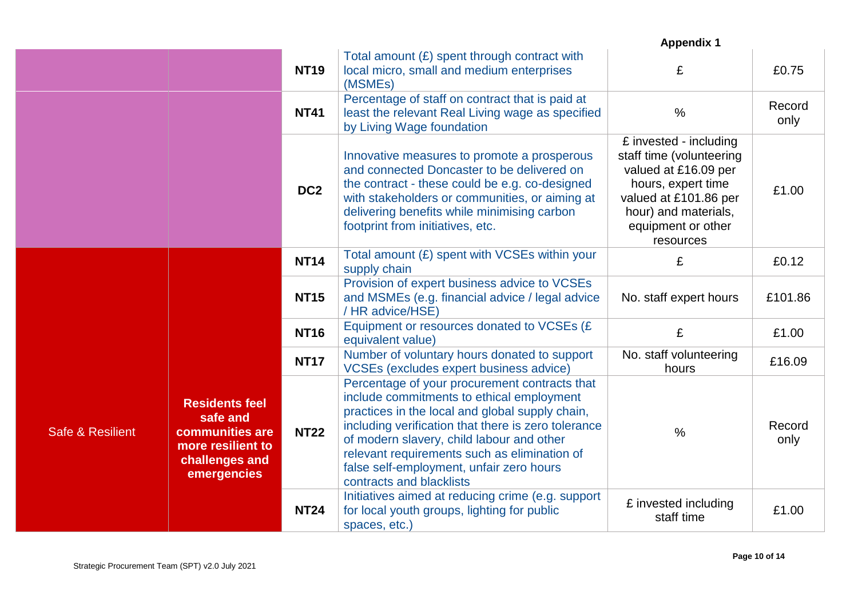|                             |                                                                                                            |                 |                                                                                                                                                                                                                                                                                                                                                                           | <b>Appendix 1</b>                                                                                                                                                                    |                |
|-----------------------------|------------------------------------------------------------------------------------------------------------|-----------------|---------------------------------------------------------------------------------------------------------------------------------------------------------------------------------------------------------------------------------------------------------------------------------------------------------------------------------------------------------------------------|--------------------------------------------------------------------------------------------------------------------------------------------------------------------------------------|----------------|
|                             |                                                                                                            | <b>NT19</b>     | Total amount $(E)$ spent through contract with<br>local micro, small and medium enterprises<br>(MSMEs)                                                                                                                                                                                                                                                                    | £                                                                                                                                                                                    | £0.75          |
|                             |                                                                                                            | <b>NT41</b>     | Percentage of staff on contract that is paid at<br>least the relevant Real Living wage as specified<br>by Living Wage foundation                                                                                                                                                                                                                                          | $\frac{0}{0}$                                                                                                                                                                        | Record<br>only |
|                             |                                                                                                            | DC <sub>2</sub> | Innovative measures to promote a prosperous<br>and connected Doncaster to be delivered on<br>the contract - these could be e.g. co-designed<br>with stakeholders or communities, or aiming at<br>delivering benefits while minimising carbon<br>footprint from initiatives, etc.                                                                                          | £ invested - including<br>staff time (volunteering<br>valued at £16.09 per<br>hours, expert time<br>valued at £101.86 per<br>hour) and materials,<br>equipment or other<br>resources | £1.00          |
|                             |                                                                                                            | <b>NT14</b>     | Total amount (£) spent with VCSEs within your<br>supply chain                                                                                                                                                                                                                                                                                                             | £                                                                                                                                                                                    | £0.12          |
|                             |                                                                                                            | <b>NT15</b>     | Provision of expert business advice to VCSEs<br>and MSMEs (e.g. financial advice / legal advice<br>/ HR advice/HSE)                                                                                                                                                                                                                                                       | No. staff expert hours                                                                                                                                                               | £101.86        |
|                             |                                                                                                            | <b>NT16</b>     | Equipment or resources donated to VCSEs (£<br>equivalent value)                                                                                                                                                                                                                                                                                                           | £                                                                                                                                                                                    | £1.00          |
|                             |                                                                                                            | <b>NT17</b>     | Number of voluntary hours donated to support<br>VCSEs (excludes expert business advice)                                                                                                                                                                                                                                                                                   | No. staff volunteering<br>hours                                                                                                                                                      | £16.09         |
| <b>Safe &amp; Resilient</b> | <b>Residents feel</b><br>safe and<br>communities are<br>more resilient to<br>challenges and<br>emergencies | <b>NT22</b>     | Percentage of your procurement contracts that<br>include commitments to ethical employment<br>practices in the local and global supply chain,<br>including verification that there is zero tolerance<br>of modern slavery, child labour and other<br>relevant requirements such as elimination of<br>false self-employment, unfair zero hours<br>contracts and blacklists | $\%$                                                                                                                                                                                 | Record<br>only |
|                             |                                                                                                            | <b>NT24</b>     | Initiatives aimed at reducing crime (e.g. support<br>for local youth groups, lighting for public<br>spaces, etc.)                                                                                                                                                                                                                                                         | £ invested including<br>staff time                                                                                                                                                   | £1.00          |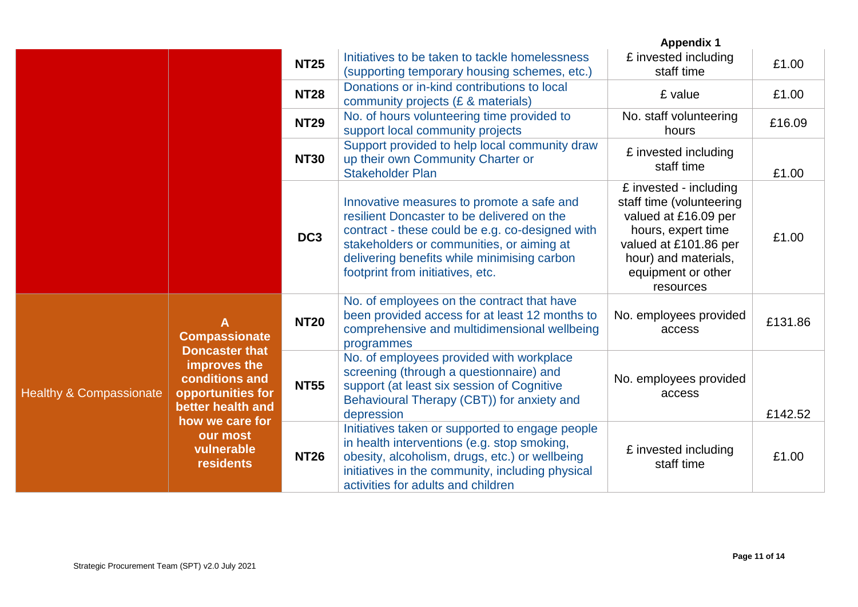|                                                                                                                                                                                                                 |                           |                                                                                                                                                                                               |                                                                                                                                                                                                                                                                            | <b>Appendix 1</b>                                                                                                                                                                    |         |
|-----------------------------------------------------------------------------------------------------------------------------------------------------------------------------------------------------------------|---------------------------|-----------------------------------------------------------------------------------------------------------------------------------------------------------------------------------------------|----------------------------------------------------------------------------------------------------------------------------------------------------------------------------------------------------------------------------------------------------------------------------|--------------------------------------------------------------------------------------------------------------------------------------------------------------------------------------|---------|
|                                                                                                                                                                                                                 |                           | <b>NT25</b>                                                                                                                                                                                   | Initiatives to be taken to tackle homelessness<br>(supporting temporary housing schemes, etc.)                                                                                                                                                                             | £ invested including<br>staff time                                                                                                                                                   | £1.00   |
|                                                                                                                                                                                                                 |                           | <b>NT28</b>                                                                                                                                                                                   | Donations or in-kind contributions to local<br>community projects (£ & materials)                                                                                                                                                                                          | £ value                                                                                                                                                                              | £1.00   |
|                                                                                                                                                                                                                 |                           | <b>NT29</b>                                                                                                                                                                                   | No. of hours volunteering time provided to<br>support local community projects                                                                                                                                                                                             | No. staff volunteering<br>hours                                                                                                                                                      | £16.09  |
|                                                                                                                                                                                                                 |                           | <b>NT30</b>                                                                                                                                                                                   | Support provided to help local community draw<br>up their own Community Charter or<br><b>Stakeholder Plan</b>                                                                                                                                                              | £ invested including<br>staff time                                                                                                                                                   | £1.00   |
|                                                                                                                                                                                                                 |                           | DC <sub>3</sub>                                                                                                                                                                               | Innovative measures to promote a safe and<br>resilient Doncaster to be delivered on the<br>contract - these could be e.g. co-designed with<br>stakeholders or communities, or aiming at<br>delivering benefits while minimising carbon<br>footprint from initiatives, etc. | £ invested - including<br>staff time (volunteering<br>valued at £16.09 per<br>hours, expert time<br>valued at £101.86 per<br>hour) and materials,<br>equipment or other<br>resources | £1.00   |
|                                                                                                                                                                                                                 | A<br><b>Compassionate</b> | <b>NT20</b>                                                                                                                                                                                   | No. of employees on the contract that have<br>been provided access for at least 12 months to<br>comprehensive and multidimensional wellbeing<br>programmes                                                                                                                 | No. employees provided<br>access                                                                                                                                                     | £131.86 |
| <b>Doncaster that</b><br>improves the<br><b>conditions and</b><br><b>Healthy &amp; Compassionate</b><br>opportunities for<br>better health and<br>how we care for<br>our most<br>vulnerable<br><b>residents</b> | <b>NT55</b>               | No. of employees provided with workplace<br>screening (through a questionnaire) and<br>support (at least six session of Cognitive<br>Behavioural Therapy (CBT)) for anxiety and<br>depression | No. employees provided<br>access                                                                                                                                                                                                                                           | £142.52                                                                                                                                                                              |         |
|                                                                                                                                                                                                                 |                           | <b>NT26</b>                                                                                                                                                                                   | Initiatives taken or supported to engage people<br>in health interventions (e.g. stop smoking,<br>obesity, alcoholism, drugs, etc.) or wellbeing<br>initiatives in the community, including physical<br>activities for adults and children                                 | £ invested including<br>staff time                                                                                                                                                   | £1.00   |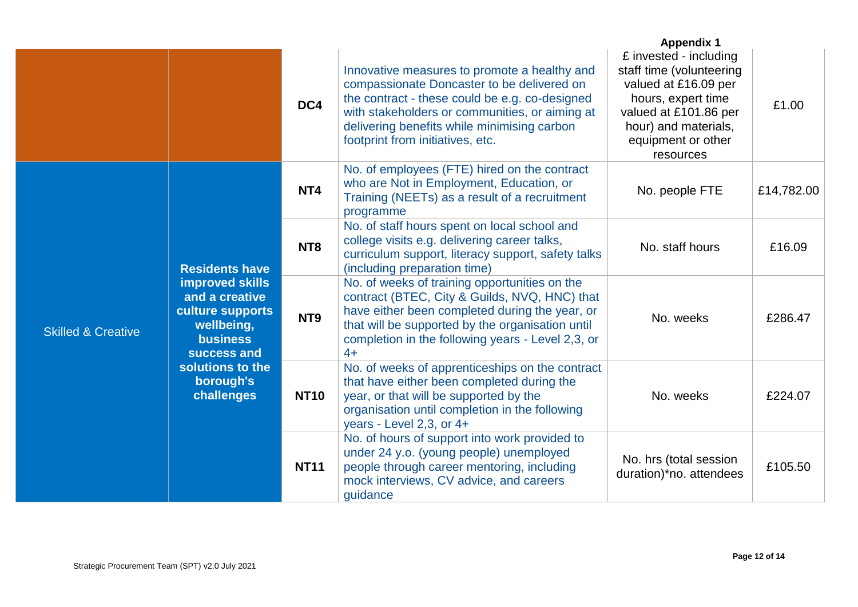|                                                                                                                                        |                                             |                                                                                                                                                                                                                                                                   |                                                                                                                                                                                                                                                                                   | <b>Appendix 1</b>                                                                                                                                                                    |            |
|----------------------------------------------------------------------------------------------------------------------------------------|---------------------------------------------|-------------------------------------------------------------------------------------------------------------------------------------------------------------------------------------------------------------------------------------------------------------------|-----------------------------------------------------------------------------------------------------------------------------------------------------------------------------------------------------------------------------------------------------------------------------------|--------------------------------------------------------------------------------------------------------------------------------------------------------------------------------------|------------|
|                                                                                                                                        |                                             | DC4                                                                                                                                                                                                                                                               | Innovative measures to promote a healthy and<br>compassionate Doncaster to be delivered on<br>the contract - these could be e.g. co-designed<br>with stakeholders or communities, or aiming at<br>delivering benefits while minimising carbon<br>footprint from initiatives, etc. | £ invested - including<br>staff time (volunteering<br>valued at £16.09 per<br>hours, expert time<br>valued at £101.86 per<br>hour) and materials,<br>equipment or other<br>resources | £1.00      |
|                                                                                                                                        |                                             | NT <sub>4</sub>                                                                                                                                                                                                                                                   | No. of employees (FTE) hired on the contract<br>who are Not in Employment, Education, or<br>Training (NEETs) as a result of a recruitment<br>programme                                                                                                                            | No. people FTE                                                                                                                                                                       | £14,782.00 |
|                                                                                                                                        | <b>Residents have</b>                       | NT <sub>8</sub>                                                                                                                                                                                                                                                   | No. of staff hours spent on local school and<br>college visits e.g. delivering career talks,<br>curriculum support, literacy support, safety talks<br>(including preparation time)                                                                                                | No. staff hours                                                                                                                                                                      | £16.09     |
| improved skills<br>and a creative<br>culture supports<br>wellbeing,<br><b>Skilled &amp; Creative</b><br><b>business</b><br>success and | NT <sub>9</sub>                             | No. of weeks of training opportunities on the<br>contract (BTEC, City & Guilds, NVQ, HNC) that<br>have either been completed during the year, or<br>that will be supported by the organisation until<br>completion in the following years - Level 2,3, or<br>$4+$ | No. weeks                                                                                                                                                                                                                                                                         | £286.47                                                                                                                                                                              |            |
|                                                                                                                                        | solutions to the<br>borough's<br>challenges | <b>NT10</b>                                                                                                                                                                                                                                                       | No. of weeks of apprenticeships on the contract<br>that have either been completed during the<br>year, or that will be supported by the<br>organisation until completion in the following<br>years - Level 2,3, or 4+                                                             | No. weeks                                                                                                                                                                            | £224.07    |
|                                                                                                                                        |                                             | <b>NT11</b>                                                                                                                                                                                                                                                       | No. of hours of support into work provided to<br>under 24 y.o. (young people) unemployed<br>people through career mentoring, including<br>mock interviews, CV advice, and careers<br>guidance                                                                                     | No. hrs (total session<br>duration)*no. attendees                                                                                                                                    | £105.50    |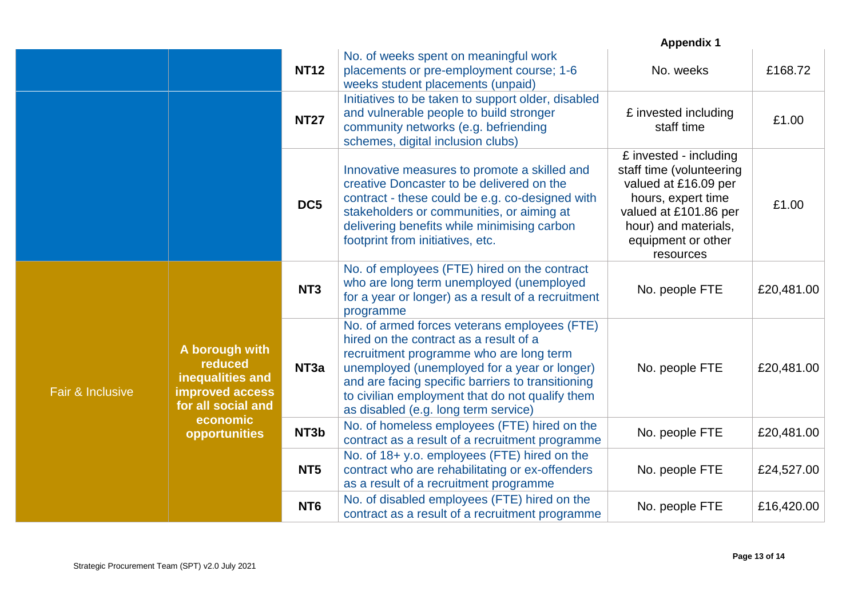|                  |                                                                                        |                  |                                                                                                                                                                                                                                                                                                                                   | <b>Appendix 1</b>                                                                                                                                                                    |            |
|------------------|----------------------------------------------------------------------------------------|------------------|-----------------------------------------------------------------------------------------------------------------------------------------------------------------------------------------------------------------------------------------------------------------------------------------------------------------------------------|--------------------------------------------------------------------------------------------------------------------------------------------------------------------------------------|------------|
|                  |                                                                                        | <b>NT12</b>      | No. of weeks spent on meaningful work<br>placements or pre-employment course; 1-6<br>weeks student placements (unpaid)                                                                                                                                                                                                            | No. weeks                                                                                                                                                                            | £168.72    |
|                  |                                                                                        | <b>NT27</b>      | Initiatives to be taken to support older, disabled<br>and vulnerable people to build stronger<br>community networks (e.g. befriending<br>schemes, digital inclusion clubs)                                                                                                                                                        | £ invested including<br>staff time                                                                                                                                                   | £1.00      |
|                  |                                                                                        | DC <sub>5</sub>  | Innovative measures to promote a skilled and<br>creative Doncaster to be delivered on the<br>contract - these could be e.g. co-designed with<br>stakeholders or communities, or aiming at<br>delivering benefits while minimising carbon<br>footprint from initiatives, etc.                                                      | £ invested - including<br>staff time (volunteering<br>valued at £16.09 per<br>hours, expert time<br>valued at £101.86 per<br>hour) and materials,<br>equipment or other<br>resources | £1.00      |
|                  |                                                                                        | NT <sub>3</sub>  | No. of employees (FTE) hired on the contract<br>who are long term unemployed (unemployed<br>for a year or longer) as a result of a recruitment<br>programme                                                                                                                                                                       | No. people FTE                                                                                                                                                                       | £20,481.00 |
| Fair & Inclusive | A borough with<br>reduced<br>inequalities and<br>improved access<br>for all social and | NT <sub>3a</sub> | No. of armed forces veterans employees (FTE)<br>hired on the contract as a result of a<br>recruitment programme who are long term<br>unemployed (unemployed for a year or longer)<br>and are facing specific barriers to transitioning<br>to civilian employment that do not qualify them<br>as disabled (e.g. long term service) | No. people FTE                                                                                                                                                                       | £20,481.00 |
|                  | economic<br>opportunities                                                              | NT3b             | No. of homeless employees (FTE) hired on the<br>contract as a result of a recruitment programme                                                                                                                                                                                                                                   | No. people FTE                                                                                                                                                                       | £20,481.00 |
|                  | NT <sub>5</sub>                                                                        |                  | No. of 18+ y.o. employees (FTE) hired on the<br>contract who are rehabilitating or ex-offenders<br>as a result of a recruitment programme                                                                                                                                                                                         | No. people FTE                                                                                                                                                                       | £24,527.00 |
|                  |                                                                                        | NT <sub>6</sub>  | No. of disabled employees (FTE) hired on the<br>contract as a result of a recruitment programme                                                                                                                                                                                                                                   | No. people FTE                                                                                                                                                                       | £16,420.00 |